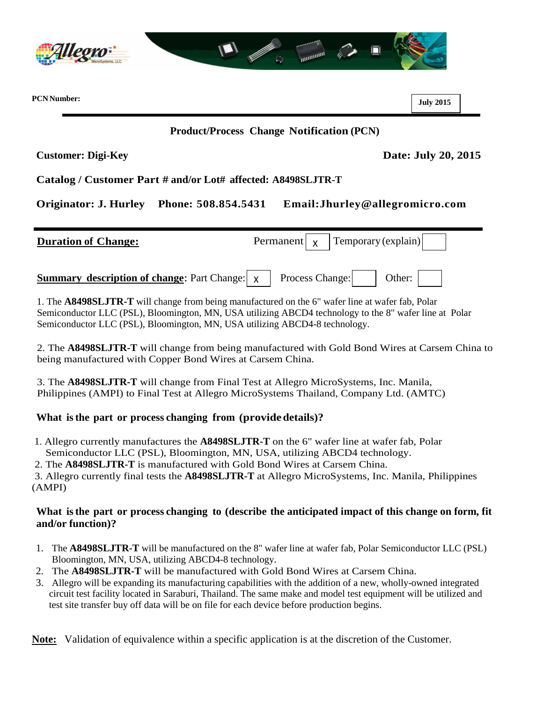

**PCN Number:**

**July 2015**

## **Product/Process Change Notification (PCN)**

**Customer: Digi-Key Date: July 20, 2015**

**Catalog / Customer Part # and/or Lot# affected: A8498SLJTR-T**

**Originator: J. Hurley Phone: 508.854.5431 Email:Jhurley@allegromicro.com**

| <b>Duration of Change:</b>                                                                                | Permanent $\begin{vmatrix} x \\ y \end{vmatrix}$ Temporary (explain) |  |
|-----------------------------------------------------------------------------------------------------------|----------------------------------------------------------------------|--|
| <b>Summary description of change:</b> Part Change: $\vert x \vert$ Process Change: $\vert$ Other: $\vert$ |                                                                      |  |

 1. The **A8498SLJTR-T** will change from being manufactured on the 6" wafer line at wafer fab, Polar Semiconductor LLC (PSL), Bloomington, MN, USA utilizing ABCD4 technology to the 8" wafer line at Polar Semiconductor LLC (PSL), Bloomington, MN, USA utilizing ABCD4-8 technology.

2. The **A8498SLJTR-T** will change from being manufactured with Gold Bond Wires at Carsem China to being manufactured with Copper Bond Wires at Carsem China.

3. The **A8498SLJTR-T** will change from Final Test at Allegro MicroSystems, Inc. Manila, Philippines (AMPI) to Final Test at Allegro MicroSystems Thailand, Company Ltd. (AMTC)

## **What isthe part or process changing from (providedetails)?**

1. Allegro currently manufactures the **A8498SLJTR-T** on the 6" wafer line at wafer fab, Polar Semiconductor LLC (PSL), Bloomington, MN, USA, utilizing ABCD4 technology.

2. The **A8498SLJTR-T** is manufactured with Gold Bond Wires at Carsem China.

3. Allegro currently final tests the **A8498SLJTR-T** at Allegro MicroSystems, Inc. Manila, Philippines (AMPI)

## **What isthe part or process changing to (describe the anticipated impact of this change on form, fit and/or function)?**

- 1. The **A8498SLJTR-T** will be manufactured on the 8" wafer line at wafer fab, Polar Semiconductor LLC (PSL) Bloomington, MN, USA, utilizing ABCD4-8 technology.
- 2. The **A8498SLJTR-T** will be manufactured with Gold Bond Wires at Carsem China.
- 3. Allegro will be expanding its manufacturing capabilities with the addition of a new, wholly-owned integrated circuit test facility located in Saraburi, Thailand. The same make and model test equipment will be utilized and test site transfer buy off data will be on file for each device before production begins.

**Note:** Validation of equivalence within a specific application is at the discretion of the Customer.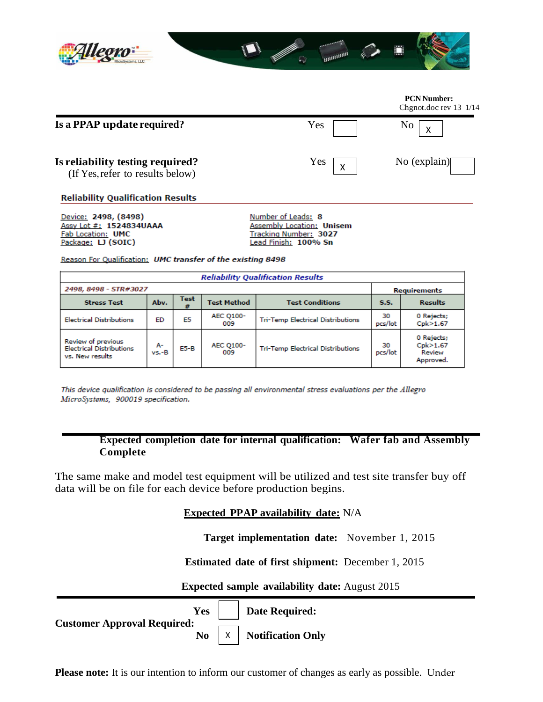

## **PCN Number:**  Chgnot.doc rev 13 1/14 **Is a PPAP update required?** Yes No X **Is reliability testing required?** Yes  $\boxed{\phantom{a}}$  No (explain) X (If Yes,refer to results below) **Reliability Qualification Results**

Device: 2498, (8498) Assy Lot #: 1524834UAAA Fab Location: UMC Package: LJ (SOIC)

Number of Leads: 8 **Assembly Location: Unisem** Tracking Number: 3027 Lead Finish: 100% Sn

Reason For Qualification: UMC transfer of the existing 8498

| <b>Reliability Qualification Results</b>                                 |             |           |                         |                                          |               |                                               |  |  |
|--------------------------------------------------------------------------|-------------|-----------|-------------------------|------------------------------------------|---------------|-----------------------------------------------|--|--|
| 2498, 8498 - STR#3027                                                    |             |           |                         |                                          | Requirements  |                                               |  |  |
| <b>Stress Test</b>                                                       | Abv.        | Test<br># | <b>Test Method</b>      | <b>Test Conditions</b>                   | S.S.          | <b>Results</b>                                |  |  |
| <b>Electrical Distributions</b>                                          | ED          | E5        | <b>AEC Q100-</b><br>009 | <b>Tri-Temp Electrical Distributions</b> | 30<br>pcs/lot | 0 Rejects;<br>Cpk>1.67                        |  |  |
| Review of previous<br><b>Electrical Distributions</b><br>vs. New results | А-<br>vs.-B | $E5-B$    | AEC Q100-<br>009        | <b>Tri-Temp Electrical Distributions</b> | 30<br>pcs/lot | 0 Rejects;<br>Cpk>1.67<br>Review<br>Approved. |  |  |

This device qualification is considered to be passing all environmental stress evaluations per the Allegro MicroSystems, 900019 specification.

> **Expected completion date for internal qualification: Wafer fab and Assembly Complete**

The same make and model test equipment will be utilized and test site transfer buy off data will be on file for each device before production begins.

**Expected PPAP availability date:** N/A

**Target implementation date:** November 1, 2015

**Estimated date of first shipment:** December 1, 2015

**Expected sample availability date:** August 2015

**Yes** | **Date Required: Customer Approval Required: No Notification Only** X

**Please note:** It is our intention to inform our customer of changes as early as possible. Under